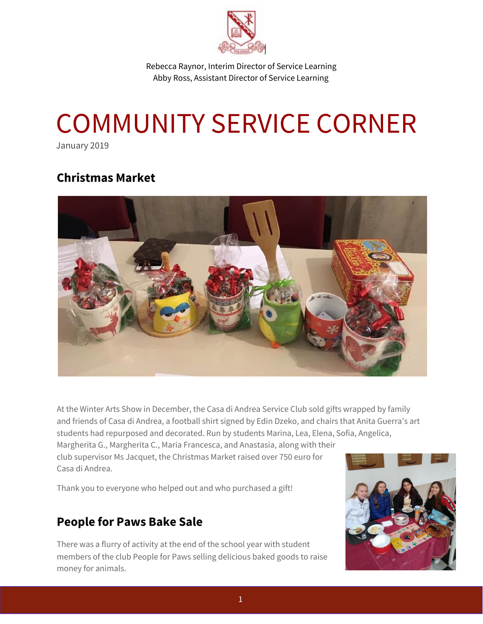

Rebecca Raynor, Interim Director of Service Learning Abby Ross, Assistant Director of Service Learning

# COMMUNITY SERVICE CORNER

January 2019

#### **Christmas Market**



At the Winter Arts Show in December, the Casa di Andrea Service Club sold gifts wrapped by family and friends of Casa di Andrea, a football shirt signed by Edin Dzeko, and chairs that Anita Guerra's art students had repurposed and decorated. Run by students Marina, Lea, Elena, Sofia, Angelica, Margherita G., Margherita C., Maria Francesca, and Anastasia, along with their

club supervisor Ms Jacquet, the Christmas Market raised over 750 euro for Casa di Andrea.

Thank you to everyone who helped out and who purchased a gift!

#### **People for Paws Bake Sale**

There was a flurry of activity at the end of the school year with student members of the club People for Paws selling delicious baked goods to raise money for animals.